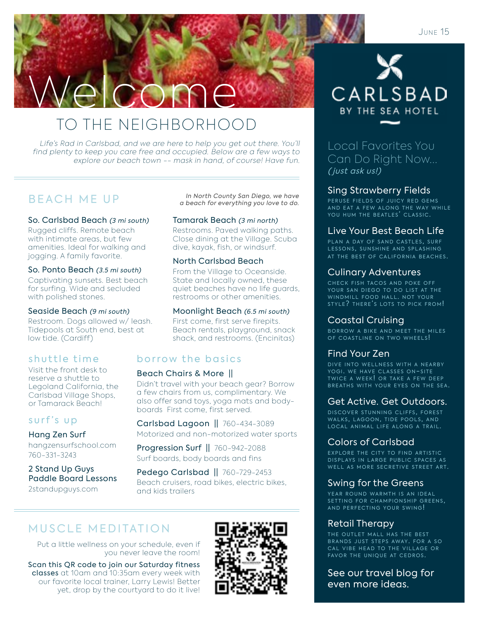# Welcome

# TO THE NEIGHBORHOOD

Life's Rad in Carlsbad, and we are here to help you get out there. You'll find plenty to keep you care free and occupied. Below are a few ways to explore our beach town -- mask in hand, of course! Have fun.

So. Carlsbad Beach (3 mi south)

Rugged cliffs. Remote beach with intimate areas, but few amenities. Ideal for walking and jogging. A family favorite.

### So. Ponto Beach (3.5 mi south)

Captivating sunsets. Best beach for surfing. Wide and secluded with polished stones.

### Seaside Beach (9 mi south)

Restroom. Dogs allowed w/ leash. Tidepools at South end, best at low tide. (Cardiff)

### shuttle time

Visit the front desk to reserve a shuttle to Legoland California, the Carlsbad Village Shops, or Tamarack Beach!

### surf's up

### Hang Zen Surf

hangzensurfschool.com 760-331-3243

### 2 Stand Up Guys Paddle Board Lessons 2standupguys.com

B E A C H M E U P<br>a beach for everything you love to do.

### Tamarak Beach (3 mi north)

Restrooms. Paved walking paths. Close dining at the Village. Scuba dive, kayak, fish, or windsurf.

### North Carlsbad Beach

From the Village to Oceanside. State and locally owned, these quiet beaches have no life guards, restrooms or other amenities.

### Moonlight Beach (6.5 mi south)

First come, first serve firepits. Beach rentals, playground, snack shack, and restrooms. (Encinitas)

### borrow the basics

### Beach Chairs & More ||

Didn't travel with your beach gear? Borrow a few chairs from us, complimentary. We also offer sand toys, yoga mats and bodyboards First come, first served.

Carlsbad Lagoon || 760-434-3089

Motorized and non-motorized water sports

Progression Surf || 760-942-2088 Surf boards, body boards and fins

Pedego Carlsbad || 760-729-2453 Beach cruisers, road bikes, electric bikes, and kids trailers

# MUSCLE MEDITATION

Put a little wellness on your schedule, even if you never leave the room!

Scan this QR code to join our Saturday fitness classes at 10am and 10:35am every week with our favorite local trainer, Larry Lewis! Better yet, drop by the courtyard to do it live!





Local Favorites You Can Do Right Now... ( just ask us!)

### Sing Strawberry Fields

PERUSE FIELDS OF JUICY RED GEMS AND EAT A FEW ALONG THE WAY WHILE<br>YOU HUM THE BEATLES' CLASSIC.

### Live Your Best Beach Life

PLAN A DAY OF SAND CASTLES, SURF LESSONS. SUNSHINE AND SPLASHING AT THE BEST OF CALIFORNIA BEACHES.

### Culinary Adventures

CHECK FISH TACOS AND POKE OFF YOUR SAN DIEGO TO DO LIST AT THE WINDMILL FOOD HALL. NOT YOUR STYLE? THERE'S LOTS TO PICK FROM!

### Coastal Cruising

BORROW A BIKE AND MEET THE MILES OF COASTLINE ON TWO WHEELS!

### Find Your Zen

DIVE INTO WELLNESS WITH A NEARBY YOGI. WE HAVE CLASSES ON-SITE TWICE A WEEK! OR TAKE A FEW DEEP BREATHS WITH YOUR EYES ON THE SEA.

### Get Active. Get Outdoors.

DISCOVER STUNNING CLIFFS, FOREST WALKS, LAGOON, TIDE POOLS, AND LOCAL ANIMAL LIFE ALONG A TRAIL.

### Colors of Carlsbad

EXPLORE THE CITY TO FIND ARTISTIC DISPLAYS IN LARGE PUBLIC SPACES AS WELL AS MORE SECRETIVE STREET ART.

### Swing for the Greens

YEAR ROUND WARMTH IS AN IDEAL SETTING FOR CHAMPIONSHIP GREENS,<br>AND PERFECTING YOUR SWING!

### Retail Therapy

THE OUTLET MALL HAS THE BEST BRANDS JUST STEPS AWAY. FOR A SO CAL VIBE HEAD TO THE VILLAGE OR FAVOR THE UNIQUE AT CEDROS.

See our travel blog for even more ideas.